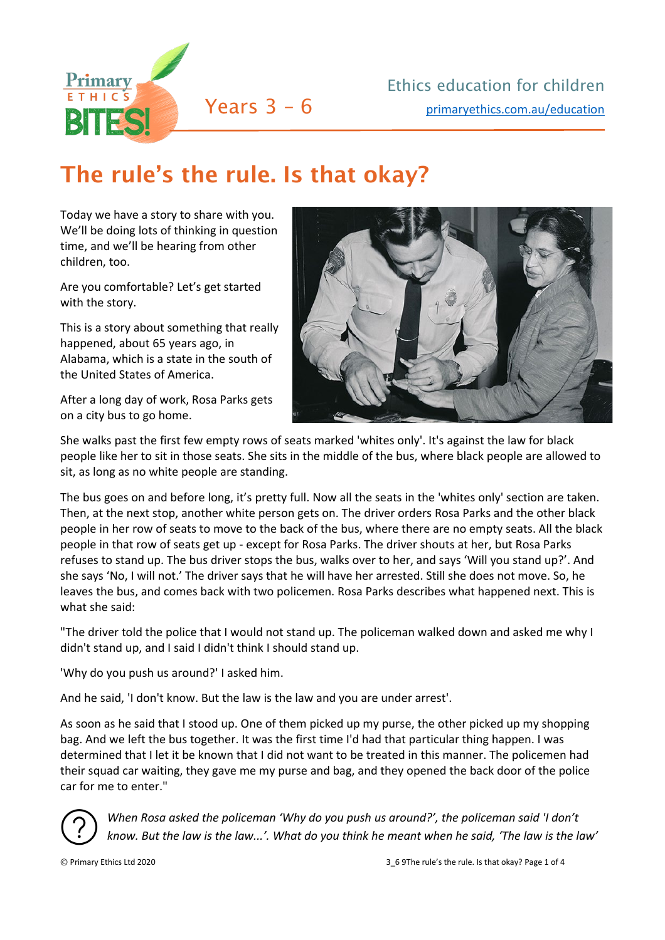

## The rule's the rule. Is that okay?

Today we have a story to share with you. We'll be doing lots of thinking in question time, and we'll be hearing from other children, too.

Are you comfortable? Let's get started with the story.

This is a story about something that really happened, about 65 years ago, in Alabama, which is a state in the south of the United States of America.

After a long day of work, Rosa Parks gets on a city bus to go home.



She walks past the first few empty rows of seats marked 'whites only'. It's against the law for black people like her to sit in those seats. She sits in the middle of the bus, where black people are allowed to sit, as long as no white people are standing.

The bus goes on and before long, it's pretty full. Now all the seats in the 'whites only' section are taken. Then, at the next stop, another white person gets on. The driver orders Rosa Parks and the other black people in her row of seats to move to the back of the bus, where there are no empty seats. All the black people in that row of seats get up - except for Rosa Parks. The driver shouts at her, but Rosa Parks refuses to stand up. The bus driver stops the bus, walks over to her, and says 'Will you stand up?'. And she says 'No, I will not.' The driver says that he will have her arrested. Still she does not move. So, he leaves the bus, and comes back with two policemen. Rosa Parks describes what happened next. This is what she said:

"The driver told the police that I would not stand up. The policeman walked down and asked me why I didn't stand up, and I said I didn't think I should stand up.

'Why do you push us around?' I asked him.

And he said, 'I don't know. But the law is the law and you are under arrest'.

As soon as he said that I stood up. One of them picked up my purse, the other picked up my shopping bag. And we left the bus together. It was the first time I'd had that particular thing happen. I was determined that I let it be known that I did not want to be treated in this manner. The policemen had their squad car waiting, they gave me my purse and bag, and they opened the back door of the police car for me to enter."



*When Rosa asked the policeman 'Why do you push us around?', the policeman said 'I don't know. But the law is the law...'. What do you think he meant when he said, 'The law is the law'*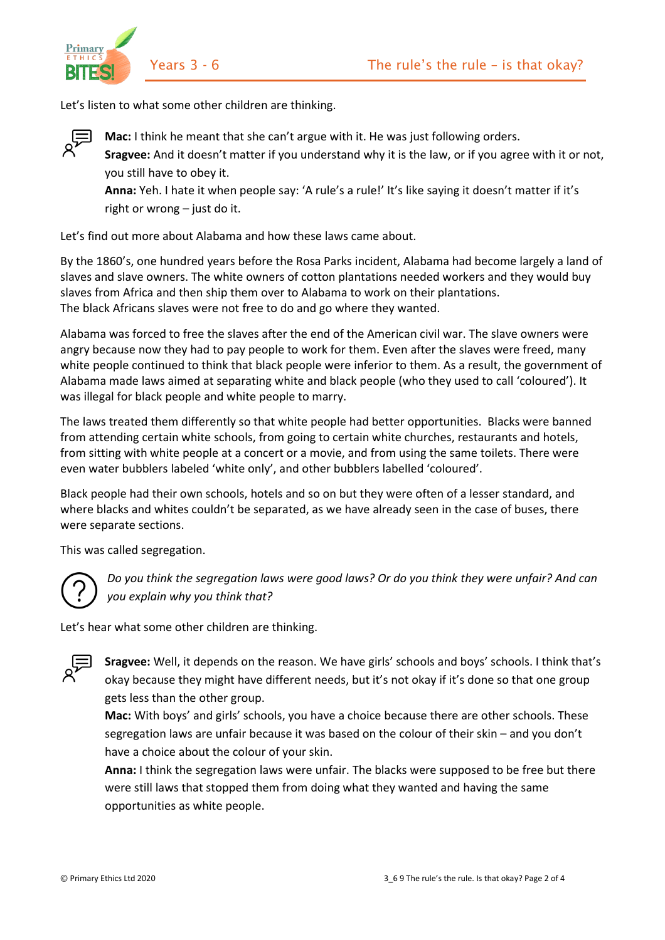

Let's listen to what some other children are thinking.



**Mac:** I think he meant that she can't argue with it. He was just following orders.

**Sragvee:** And it doesn't matter if you understand why it is the law, or if you agree with it or not, you still have to obey it.

**Anna:** Yeh. I hate it when people say: 'A rule's a rule!' It's like saying it doesn't matter if it's right or wrong – just do it.

Let's find out more about Alabama and how these laws came about.

By the 1860's, one hundred years before the Rosa Parks incident, Alabama had become largely a land of slaves and slave owners. The white owners of cotton plantations needed workers and they would buy slaves from Africa and then ship them over to Alabama to work on their plantations. The black Africans slaves were not free to do and go where they wanted.

Alabama was forced to free the slaves after the end of the American civil war. The slave owners were angry because now they had to pay people to work for them. Even after the slaves were freed, many white people continued to think that black people were inferior to them. As a result, the government of Alabama made laws aimed at separating white and black people (who they used to call 'coloured'). It was illegal for black people and white people to marry.

The laws treated them differently so that white people had better opportunities. Blacks were banned from attending certain white schools, from going to certain white churches, restaurants and hotels, from sitting with white people at a concert or a movie, and from using the same toilets. There were even water bubblers labeled 'white only', and other bubblers labelled 'coloured'.

Black people had their own schools, hotels and so on but they were often of a lesser standard, and where blacks and whites couldn't be separated, as we have already seen in the case of buses, there were separate sections.

This was called segregation.



*Do you think the segregation laws were good laws? Or do you think they were unfair? And can you explain why you think that?*

Let's hear what some other children are thinking.



**Sragvee:** Well, it depends on the reason. We have girls' schools and boys' schools. I think that's okay because they might have different needs, but it's not okay if it's done so that one group gets less than the other group.

**Mac:** With boys' and girls' schools, you have a choice because there are other schools. These segregation laws are unfair because it was based on the colour of their skin – and you don't have a choice about the colour of your skin.

**Anna:** I think the segregation laws were unfair. The blacks were supposed to be free but there were still laws that stopped them from doing what they wanted and having the same opportunities as white people.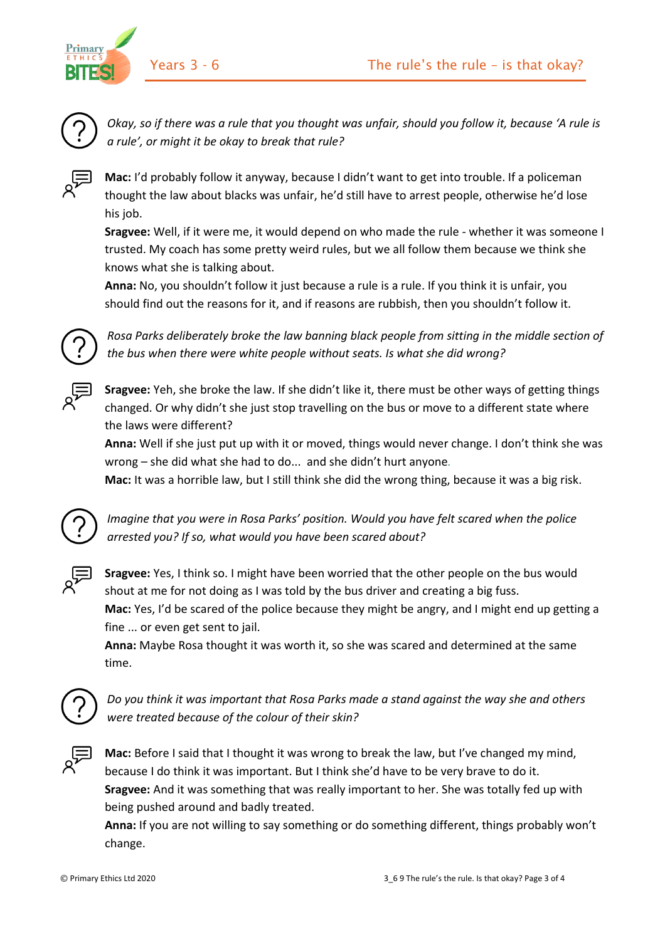



*Okay, so if there was a rule that you thought was unfair, should you follow it, because 'A rule is a rule', or might it be okay to break that rule?* 



**Mac:** I'd probably follow it anyway, because I didn't want to get into trouble. If a policeman thought the law about blacks was unfair, he'd still have to arrest people, otherwise he'd lose his job.

**Sragvee:** Well, if it were me, it would depend on who made the rule - whether it was someone I trusted. My coach has some pretty weird rules, but we all follow them because we think she knows what she is talking about.

**Anna:** No, you shouldn't follow it just because a rule is a rule. If you think it is unfair, you should find out the reasons for it, and if reasons are rubbish, then you shouldn't follow it.



*Rosa Parks deliberately broke the law banning black people from sitting in the middle section of the bus when there were white people without seats. Is what she did wrong?* 



**Sragvee:** Yeh, she broke the law. If she didn't like it, there must be other ways of getting things changed. Or why didn't she just stop travelling on the bus or move to a different state where the laws were different?

**Anna:** Well if she just put up with it or moved, things would never change. I don't think she was wrong – she did what she had to do... and she didn't hurt anyone*.*

**Mac:** It was a horrible law, but I still think she did the wrong thing, because it was a big risk.



*Imagine that you were in Rosa Parks' position. Would you have felt scared when the police arrested you? If so, what would you have been scared about?* 



**Sragvee:** Yes, I think so. I might have been worried that the other people on the bus would shout at me for not doing as I was told by the bus driver and creating a big fuss. **Mac:** Yes, I'd be scared of the police because they might be angry, and I might end up getting a fine ... or even get sent to jail.

**Anna:** Maybe Rosa thought it was worth it, so she was scared and determined at the same time.



*Do you think it was important that Rosa Parks made a stand against the way she and others were treated because of the colour of their skin?* 



**Mac:** Before I said that I thought it was wrong to break the law, but I've changed my mind, because I do think it was important. But I think she'd have to be very brave to do it. **Sragvee:** And it was something that was really important to her. She was totally fed up with being pushed around and badly treated.

**Anna:** If you are not willing to say something or do something different, things probably won't change.